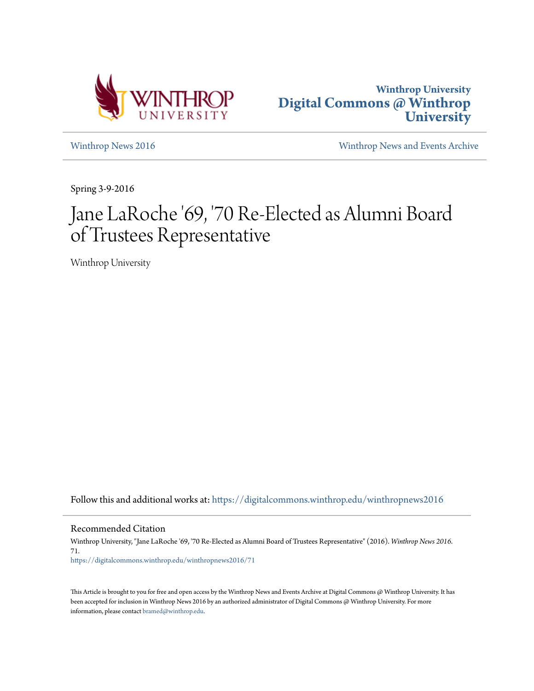



[Winthrop News 2016](https://digitalcommons.winthrop.edu/winthropnews2016?utm_source=digitalcommons.winthrop.edu%2Fwinthropnews2016%2F71&utm_medium=PDF&utm_campaign=PDFCoverPages) [Winthrop News and Events Archive](https://digitalcommons.winthrop.edu/winthropnewsarchives?utm_source=digitalcommons.winthrop.edu%2Fwinthropnews2016%2F71&utm_medium=PDF&utm_campaign=PDFCoverPages)

Spring 3-9-2016

## Jane LaRoche '69, '70 Re-Elected as Alumni Board of Trustees Representative

Winthrop University

Follow this and additional works at: [https://digitalcommons.winthrop.edu/winthropnews2016](https://digitalcommons.winthrop.edu/winthropnews2016?utm_source=digitalcommons.winthrop.edu%2Fwinthropnews2016%2F71&utm_medium=PDF&utm_campaign=PDFCoverPages)

Recommended Citation

Winthrop University, "Jane LaRoche '69, '70 Re-Elected as Alumni Board of Trustees Representative" (2016). *Winthrop News 2016*. 71. [https://digitalcommons.winthrop.edu/winthropnews2016/71](https://digitalcommons.winthrop.edu/winthropnews2016/71?utm_source=digitalcommons.winthrop.edu%2Fwinthropnews2016%2F71&utm_medium=PDF&utm_campaign=PDFCoverPages)

This Article is brought to you for free and open access by the Winthrop News and Events Archive at Digital Commons @ Winthrop University. It has been accepted for inclusion in Winthrop News 2016 by an authorized administrator of Digital Commons @ Winthrop University. For more information, please contact [bramed@winthrop.edu](mailto:bramed@winthrop.edu).